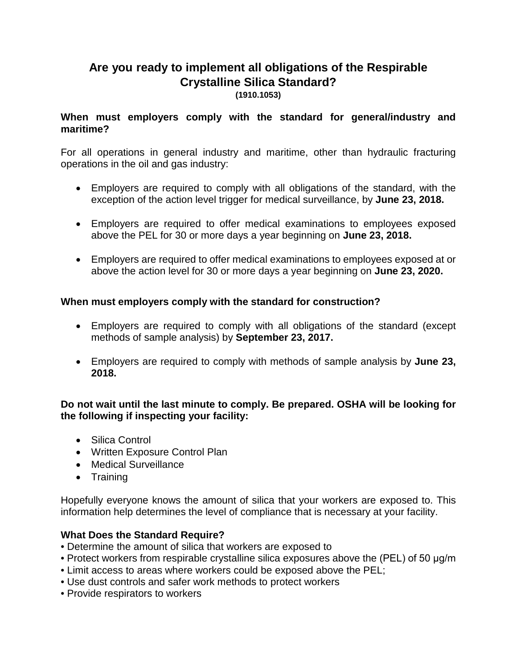# **Are you ready to implement all obligations of the Respirable Crystalline Silica Standard?**

**(1910.1053)**

## **When must employers comply with the standard for general/industry and maritime?**

For all operations in general industry and maritime, other than hydraulic fracturing operations in the oil and gas industry:

- Employers are required to comply with all obligations of the standard, with the exception of the action level trigger for medical surveillance, by **June 23, 2018.**
- Employers are required to offer medical examinations to employees exposed above the PEL for 30 or more days a year beginning on **June 23, 2018.**
- Employers are required to offer medical examinations to employees exposed at or above the action level for 30 or more days a year beginning on **June 23, 2020.**

## **When must employers comply with the standard for construction?**

- Employers are required to comply with all obligations of the standard (except methods of sample analysis) by **September 23, 2017.**
- Employers are required to comply with methods of sample analysis by **June 23, 2018.**

### **Do not wait until the last minute to comply. Be prepared. OSHA will be looking for the following if inspecting your facility:**

- Silica Control
- Written Exposure Control Plan
- Medical Surveillance
- Training

Hopefully everyone knows the amount of silica that your workers are exposed to. This information help determines the level of compliance that is necessary at your facility.

### **What Does the Standard Require?**

- Determine the amount of silica that workers are exposed to
- Protect workers from respirable crystalline silica exposures above the (PEL) of 50 μg/m
- Limit access to areas where workers could be exposed above the PEL;
- Use dust controls and safer work methods to protect workers
- Provide respirators to workers